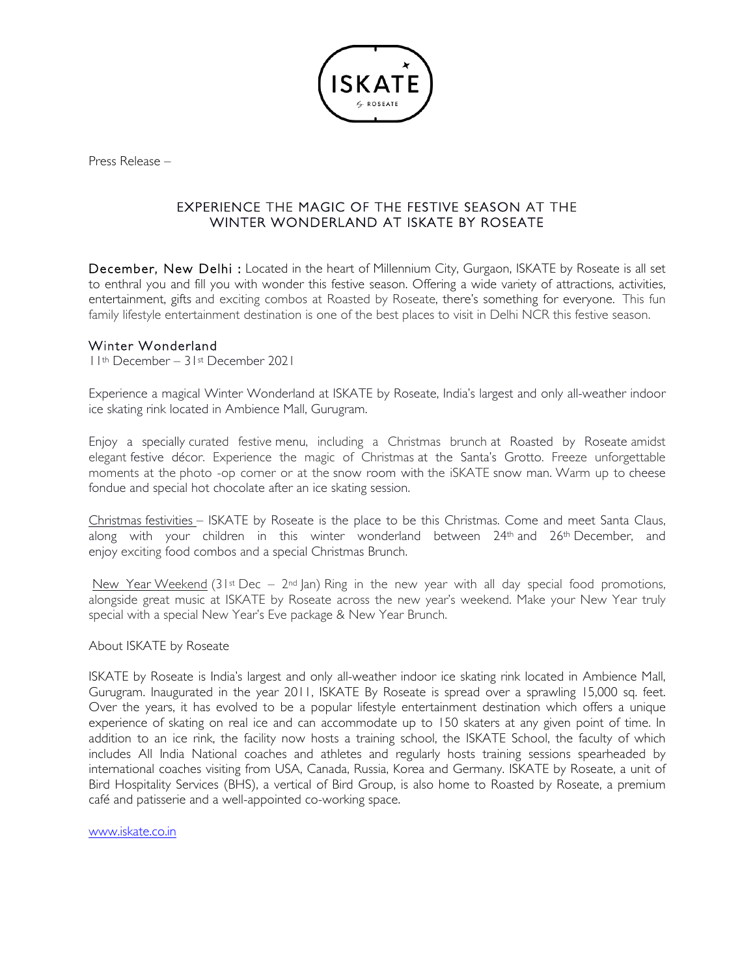

Press Release –

## EXPERIENCE THE MAGIC OF THE FESTIVE SEASON AT THE WINTER WONDERLAND AT ISKATE BY ROSEATE

December, New Delhi : Located in the heart of Millennium City, Gurgaon, ISKATE by Roseate is all set to enthral you and fill you with wonder this festive season. Offering a wide variety of attractions, activities, entertainment, gifts and exciting combos at Roasted by Roseate, there's something for everyone. This fun family lifestyle entertainment destination is one of the best places to visit in Delhi NCR this festive season.

### Winter Wonderland

11th December – 31st December 2021

Experience a magical Winter Wonderland at ISKATE by Roseate, India's largest and only all-weather indoor ice skating rink located in Ambience Mall, Gurugram.

Enjoy a specially curated festive menu, including a Christmas brunch at Roasted by Roseate amidst elegant festive décor. Experience the magic of Christmas at the Santa's Grotto. Freeze unforgettable moments at the photo -op corner or at the snow room with the iSKATE snow man. Warm up to cheese fondue and special hot chocolate after an ice skating session.

Christmas festivities – ISKATE by Roseate is the place to be this Christmas. Come and meet Santa Claus, along with your children in this winter wonderland between  $24<sup>th</sup>$  and  $26<sup>th</sup>$  December, and enjoy exciting food combos and a special Christmas Brunch.

New Year Weekend (31st Dec –  $2^{nd}$  lan) Ring in the new year with all day special food promotions, alongside great music at ISKATE by Roseate across the new year's weekend. Make your New Year truly special with a special New Year's Eve package & New Year Brunch.

#### About ISKATE by Roseate

ISKATE by Roseate is India's largest and only all-weather indoor ice skating rink located in Ambience Mall, Gurugram. Inaugurated in the year 2011, ISKATE By Roseate is spread over a sprawling 15,000 sq. feet. Over the years, it has evolved to be a popular lifestyle entertainment destination which offers a unique experience of skating on real ice and can accommodate up to 150 skaters at any given point of time. In addition to an ice rink, the facility now hosts a training school, the ISKATE School, the faculty of which includes All India National coaches and athletes and regularly hosts training sessions spearheaded by international coaches visiting from USA, Canada, Russia, Korea and Germany. ISKATE by Roseate, a unit of Bird Hospitality Services (BHS), a vertical of Bird Group, is also home to Roasted by Roseate, a premium café and patisserie and a well-appointed co-working space.

www.iskate.co.in